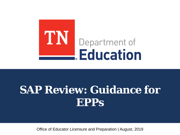

# **SAP Review: Guidance for EPPs**

Office of Educator Licensure and Preparation | August, 2019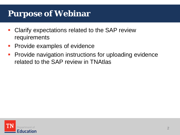# **Purpose of Webinar**

- **Clarify expectations related to the SAP review** requirements
- **Provide examples of evidence**
- **Provide navigation instructions for uploading evidence** related to the SAP review in TNAtlas

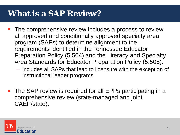# **What is a SAP Review?**

- **The comprehensive review includes a process to review** all approved and conditionally approved specialty area program (SAPs) to determine alignment to the requirements identified in the Tennessee Educator Preparation Policy (5.504) and the Literacy and Specialty Area Standards for Educator Preparation Policy (5.505).
	- includes all SAPs that lead to licensure with the exception of instructional leader programs
- The SAP review is required for all EPPs participating in a comprehensive review (state-managed and joint CAEP/state).

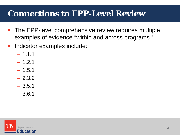# **Connections to EPP-Level Review**

- **The EPP-level comprehensive review requires multiple** examples of evidence "within and across programs."
- **Indicator examples include:** 
	- $-1.1.1$
	- $-1.2.1$
	- $-1.5.1$
	- 2.3.2
	- 3.5.1
	- 3.6.1

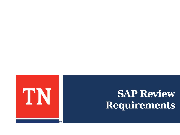

# **SAP Review Requirements**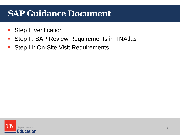# **SAP Guidance Document**

- **Step I: Verification**
- **Step II: SAP Review Requirements in TNAtlas**
- **Step III: On-Site Visit Requirements**

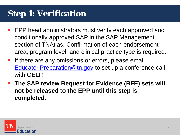# **Step 1: Verification**

- EPP head administrators must verify each approved and conditionally approved SAP in the SAP Management section of TNAtlas. Confirmation of each endorsement area, program level, and clinical practice type is required.
- **If there are any omissions or errors, please email** Educator. Preparation@tn.gov to set up a conference call with OELP.
- **The SAP review Request for Evidence (RFE) sets will not be released to the EPP until this step is completed.**

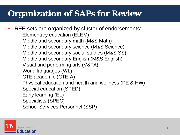# **Organization of SAPs for Review**

- **RFE** sets are organized by cluster of endorsements:
	- Elementary education (ELEM)
	- Middle and secondary math (M&S Math)
	- Middle and secondary science (M&S Science)
	- Middle and secondary social studies (M&S SS)
	- Middle and secondary English (M&S English)
	- Visual and performing arts (V&PA)
	- World languages (WL)
	- CTE academic (CTE-A)
	- Physical education and health and wellness (PE & HW)
	- Special education (SPED)
	- Early learning (EL)
	- Specialists (SPEC)
	- School Services Personnel (SSP)

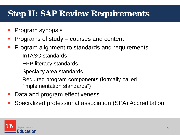# **Step II: SAP Review Requirements**

- Program synopsis
- Programs of study courses and content
- Program alignment to standards and requirements
	- InTASC standards
	- EPP literacy standards
	- Specialty area standards
	- Required program components (formally called "implementation standards")
- Data and program effectiveness
- Specialized professional association (SPA) Accreditation

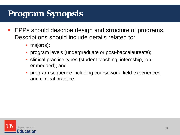# **Program Synopsis**

- EPPs should describe design and structure of programs. Descriptions should include details related to:
	- major(s);
	- program levels (undergraduate or post-baccalaureate);
	- clinical practice types (student teaching, internship, jobembedded); and
	- program sequence including coursework, field experiences, and clinical practice.

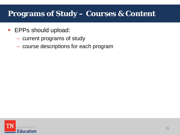### **Programs of Study – Courses & Content**

- **EPPs should upload:** 
	- current programs of study
	- course descriptions for each program

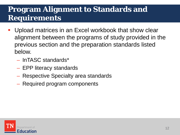- Upload matrices in an Excel workbook that show clear alignment between the programs of study provided in the previous section and the preparation standards listed below.
	- InTASC standards\*
	- EPP literacy standards
	- Respective Specialty area standards
	- Required program components

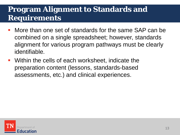- More than one set of standards for the same SAP can be combined on a single spreadsheet; however, standards alignment for various program pathways must be clearly identifiable.
- Within the cells of each worksheet, indicate the preparation content (lessons, standards-based assessments, etc.) and clinical experiences.

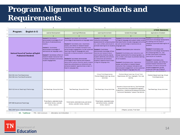|                |                                                                                                                         | в                                                                                                                                                                                                                                                                                                                                           |                                                                                                                                                                                                                                                                                                                                                                                                                                                                                                                                                                                                                                                          | D                                                                                                                                                                                                                                                                                                                                                                                                                              | F                                                                                                                                                                                                                                                                                                                                                                                                                                                                                                                                                                                                                                        |                                                                                                                                                                                                                                                                                                                                                                                                                                                                                                                                                                              |
|----------------|-------------------------------------------------------------------------------------------------------------------------|---------------------------------------------------------------------------------------------------------------------------------------------------------------------------------------------------------------------------------------------------------------------------------------------------------------------------------------------|----------------------------------------------------------------------------------------------------------------------------------------------------------------------------------------------------------------------------------------------------------------------------------------------------------------------------------------------------------------------------------------------------------------------------------------------------------------------------------------------------------------------------------------------------------------------------------------------------------------------------------------------------------|--------------------------------------------------------------------------------------------------------------------------------------------------------------------------------------------------------------------------------------------------------------------------------------------------------------------------------------------------------------------------------------------------------------------------------|------------------------------------------------------------------------------------------------------------------------------------------------------------------------------------------------------------------------------------------------------------------------------------------------------------------------------------------------------------------------------------------------------------------------------------------------------------------------------------------------------------------------------------------------------------------------------------------------------------------------------------------|------------------------------------------------------------------------------------------------------------------------------------------------------------------------------------------------------------------------------------------------------------------------------------------------------------------------------------------------------------------------------------------------------------------------------------------------------------------------------------------------------------------------------------------------------------------------------|
| $\mathbf 1$    |                                                                                                                         |                                                                                                                                                                                                                                                                                                                                             |                                                                                                                                                                                                                                                                                                                                                                                                                                                                                                                                                                                                                                                          |                                                                                                                                                                                                                                                                                                                                                                                                                                |                                                                                                                                                                                                                                                                                                                                                                                                                                                                                                                                                                                                                                          | <b>InTASC Standards</b>                                                                                                                                                                                                                                                                                                                                                                                                                                                                                                                                                      |
| $\overline{2}$ | English 6-12<br>Program:                                                                                                | Learner Development                                                                                                                                                                                                                                                                                                                         | <b>Learning Differences</b>                                                                                                                                                                                                                                                                                                                                                                                                                                                                                                                                                                                                                              | <b>Learning Environment</b>                                                                                                                                                                                                                                                                                                                                                                                                    | Content Knowledge                                                                                                                                                                                                                                                                                                                                                                                                                                                                                                                                                                                                                        | <b>Application of Content</b>                                                                                                                                                                                                                                                                                                                                                                                                                                                                                                                                                |
| 3              |                                                                                                                         |                                                                                                                                                                                                                                                                                                                                             | $\overline{2}$                                                                                                                                                                                                                                                                                                                                                                                                                                                                                                                                                                                                                                           | -3                                                                                                                                                                                                                                                                                                                                                                                                                             |                                                                                                                                                                                                                                                                                                                                                                                                                                                                                                                                                                                                                                          | 5                                                                                                                                                                                                                                                                                                                                                                                                                                                                                                                                                                            |
| Δ              | <b>National Council of Teachers of English</b><br><b>Professional Standards</b>                                         | <b>Standard 1: Candidates</b><br>demonstrate knowledge of e of<br>the nature of adolescents as<br>readers.<br><b>Standard 2: Candidates</b><br>demonstrate knowledge of<br>adolescents as language users.<br>Standard 5: Candidates reflect on<br>research-based instruction that<br>increases motivation and active<br>student engagement. | Standard 2: Candidates demonstrate<br>knowledge of adolescents as language users.<br>Standard 5: Candidates plan, implement,<br>assess, and reflect on research-based<br>instruction that increases motivation and<br>active student engagement, builds sustained Standard 6: Candidates<br>learning of English language arts, and<br>responds to diverse students' context-based<br>Ineeds.<br>Standard 6: Candidates demonstrate<br>knowledge of how theories and research<br>about social justice, diversity, equity, student<br>identities, and schools as institutions can<br>enhance students' opportunities to learn in<br>English Language Arts. | Standard 4: Candidates plan<br>instruction and design<br>assessments for composing texts<br>(i.e., oral, written, and visual) to<br>promote learning for all students. language users.<br>demonstrate knowledge of how<br>theories and research about<br>social justice, diversity, equity,<br>student identities, and schools<br>as institutions can enhance<br>students' opportunities to learn<br>in English Language Arts. | Standard 2: Candidates demonstrate knowledge<br>of English language arts subject matter content<br>that specifically includes language and writing<br>as well as knowledge of adolescents as<br>Standard 3: Candidates plan instruction<br>Standard 4: Candidates plan instruction and<br>design assessments for composing texts (i.e.,<br>oral, written, and visual) to promote learning<br>for all students.<br>Standard 5: Candidates plan, implement,<br>assess, and reflect on research-based<br>instruction that increases motivation and<br>active student engagement, builds sustained<br>learning of English language arts, and | Standard 3: Candidates plan<br>instruction and design assessments<br>for reading and the study of<br>literature to promote learning for all<br>students<br>Standard 4: Candidates plan<br>instruction and design assessments<br>for composing texts (i.e., oral,<br>written, and visual) to promote<br>learning for all students.<br>Standard 5: Candidates plan,<br>implement, assess, and reflect on<br>research-based instruction that<br>increases motivation and active<br>student engagement, builds<br>sustained learning of English<br>anguage arts, and responds to |
| 5              | EDUC 301 Intro Field Experience/<br>EDUC 302 Intro Field Exp/Orientation                                                |                                                                                                                                                                                                                                                                                                                                             |                                                                                                                                                                                                                                                                                                                                                                                                                                                                                                                                                                                                                                                          | Virtual Field Experiences,<br>Problem-Based Learning, Group<br><b>Activities</b>                                                                                                                                                                                                                                                                                                                                               | Problem-Based Learning, Virtual Field<br>Experiences, LRC Tour, Copyright / Fair Use<br><b>Activity</b>                                                                                                                                                                                                                                                                                                                                                                                                                                                                                                                                  | Problem-Based Learning, Virtual<br><b>Field Experiences</b>                                                                                                                                                                                                                                                                                                                                                                                                                                                                                                                  |
| 6              | EDUC 412 Intro to Teaching & Technology                                                                                 | <b>Text Readings, Group Activities</b>                                                                                                                                                                                                                                                                                                      | <b>Text Readings, Group Activities</b>                                                                                                                                                                                                                                                                                                                                                                                                                                                                                                                                                                                                                   | <b>Text Readings, Group Activities</b>                                                                                                                                                                                                                                                                                                                                                                                         | Education Buzzwords Activity, Text Readings,<br>Group Activities, Annotated Bibliography,<br>Disposition, Interactive Whiteboard Activities,<br>Curriculum Standards / Lesson Plan Activity                                                                                                                                                                                                                                                                                                                                                                                                                                              | <b>Text Readings, Group Activities</b>                                                                                                                                                                                                                                                                                                                                                                                                                                                                                                                                       |
| 7              | <b>EDPY 480 Educational Psychology</b>                                                                                  | Three Exams, extended study,<br>periodical review, outsider<br>review, reaction                                                                                                                                                                                                                                                             | Three Exams, extended study, periodical<br>review, outsider review, reaction                                                                                                                                                                                                                                                                                                                                                                                                                                                                                                                                                                             | Three Exams, extended study,<br>periodical review, outsider<br>review, reaction                                                                                                                                                                                                                                                                                                                                                |                                                                                                                                                                                                                                                                                                                                                                                                                                                                                                                                                                                                                                          |                                                                                                                                                                                                                                                                                                                                                                                                                                                                                                                                                                              |
| 8              | <b>ENGL 2330 Topics in World Literature</b>                                                                             |                                                                                                                                                                                                                                                                                                                                             |                                                                                                                                                                                                                                                                                                                                                                                                                                                                                                                                                                                                                                                          |                                                                                                                                                                                                                                                                                                                                                                                                                                | 2 Papers, quizzes, Final Exam                                                                                                                                                                                                                                                                                                                                                                                                                                                                                                                                                                                                            |                                                                                                                                                                                                                                                                                                                                                                                                                                                                                                                                                                              |
|                | $\bigoplus$<br>$\frac{1}{2}$ $\frac{1}{2}$<br><b>UG</b> – Traditional<br>TPB - MA+Licensure<br>Alternative Job-Embedded |                                                                                                                                                                                                                                                                                                                                             |                                                                                                                                                                                                                                                                                                                                                                                                                                                                                                                                                                                                                                                          |                                                                                                                                                                                                                                                                                                                                                                                                                                |                                                                                                                                                                                                                                                                                                                                                                                                                                                                                                                                                                                                                                          |                                                                                                                                                                                                                                                                                                                                                                                                                                                                                                                                                                              |

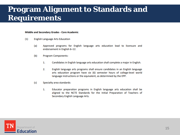#### **Middle and Secondary Grades - Core Academic**

- $(1)$ **English Language Arts Education** 
	- $(a)$ Approved programs for English language arts education lead to licensure and endorsement in English 6-12.
	- $(b)$ **Program Components:** 
		- 1. Candidates in English language arts education shall complete a major in English.
		- 2. English language arts programs shall ensure candidates in an English language arts education program have six (6) semester hours of college-level world language instructions or the equivalent, as determined by the EPP.
	- (c) Specialty area standards:
		- Educator preparation programs in English language arts education shall be 1. aligned to the NCTE Standards for the Initial Preparation of Teachers of Secondary English Language Arts.

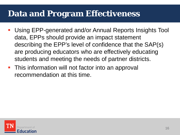## **Data and Program Effectiveness**

- Using EPP-generated and/or Annual Reports Insights Tool data, EPPs should provide an impact statement describing the EPP's level of confidence that the SAP(s) are producing educators who are effectively educating students and meeting the needs of partner districts.
- **This information will not factor into an approval** recommendation at this time.

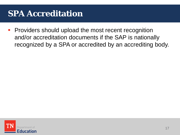# **SPA Accreditation**

**Providers should upload the most recent recognition** and/or accreditation documents if the SAP is nationally recognized by a SPA or accredited by an accrediting body.